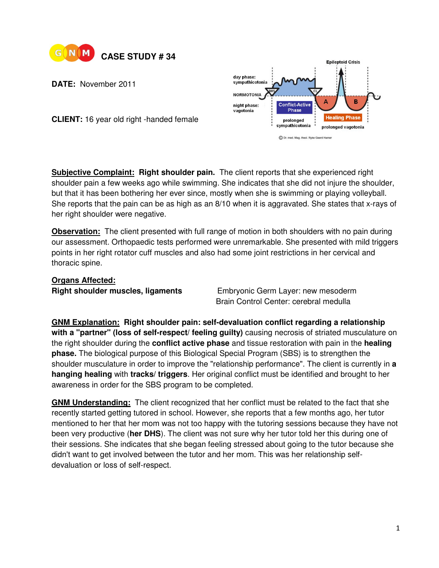

**DATE:** November 2011



**CLIENT:** 16 year old right -handed female

**Subjective Complaint: Right shoulder pain.** The client reports that she experienced right shoulder pain a few weeks ago while swimming. She indicates that she did not injure the shoulder, but that it has been bothering her ever since, mostly when she is swimming or playing volleyball. She reports that the pain can be as high as an 8/10 when it is aggravated. She states that x-rays of her right shoulder were negative.

**Observation:** The client presented with full range of motion in both shoulders with no pain during our assessment. Orthopaedic tests performed were unremarkable. She presented with mild triggers points in her right rotator cuff muscles and also had some joint restrictions in her cervical and thoracic spine.

## **Organs Affected:**

**Right shoulder muscles, ligaments** Embryonic Germ Layer: new mesoderm Brain Control Center: cerebral medulla

**GNM Explanation: Right shoulder pain: self-devaluation conflict regarding a relationship with a "partner" (loss of self-respect/ feeling guilty)** causing necrosis of striated musculature on the right shoulder during the **conflict active phase** and tissue restoration with pain in the **healing phase.** The biological purpose of this Biological Special Program (SBS) is to strengthen the shoulder musculature in order to improve the "relationship performance". The client is currently in **a hanging healing** with **tracks/ triggers**. Her original conflict must be identified and brought to her awareness in order for the SBS program to be completed.

**GNM Understanding:** The client recognized that her conflict must be related to the fact that she recently started getting tutored in school. However, she reports that a few months ago, her tutor mentioned to her that her mom was not too happy with the tutoring sessions because they have not been very productive (**her DHS**). The client was not sure why her tutor told her this during one of their sessions. She indicates that she began feeling stressed about going to the tutor because she didn't want to get involved between the tutor and her mom. This was her relationship selfdevaluation or loss of self-respect.